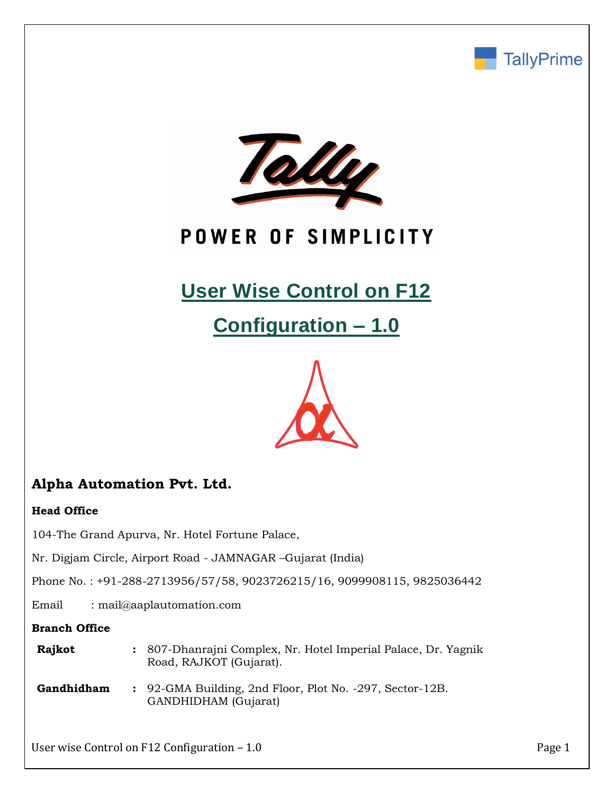



# POWER OF SIMPLICITY

# **User Wise Control on F12**

**Configuration – 1.0**



# **Alpha Automation Pvt. Ltd.**

## **Head Office**

104-The Grand Apurva, Nr. Hotel Fortune Palace,

Nr. Digjam Circle, Airport Road - JAMNAGAR –Gujarat (India)

Phone No. : +91-288-2713956/57/58, 9023726215/16, 9099908115, 9825036442

Email : mail@aaplautomation.com

### **Branch Office**

| Rajkot | : 807-Dhanrajni Complex, Nr. Hotel Imperial Palace, Dr. Yagnik |
|--------|----------------------------------------------------------------|
|        | Road, RAJKOT (Gujarat).                                        |

**Gandhidham :** 92-GMA Building, 2nd Floor, Plot No. -297, Sector-12B. GANDHIDHAM (Gujarat)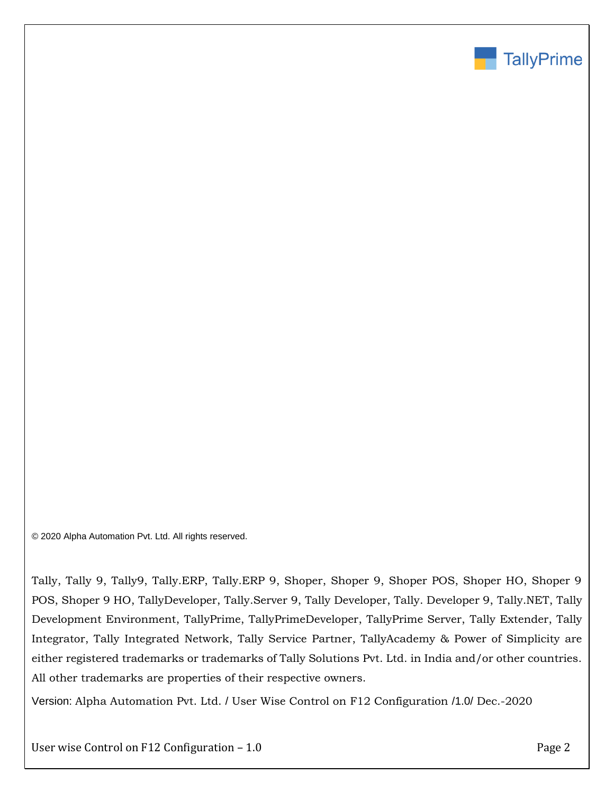

© 2020 Alpha Automation Pvt. Ltd. All rights reserved.

Tally, Tally 9, Tally9, Tally.ERP, Tally.ERP 9, Shoper, Shoper 9, Shoper POS, Shoper HO, Shoper 9 POS, Shoper 9 HO, TallyDeveloper, Tally.Server 9, Tally Developer, Tally. Developer 9, Tally.NET, Tally Development Environment, TallyPrime, TallyPrimeDeveloper, TallyPrime Server, Tally Extender, Tally Integrator, Tally Integrated Network, Tally Service Partner, TallyAcademy & Power of Simplicity are either registered trademarks or trademarks of Tally Solutions Pvt. Ltd. in India and/or other countries. All other trademarks are properties of their respective owners.

Version: Alpha Automation Pvt. Ltd. / User Wise Control on F12 Configuration /1.0/ Dec.-2020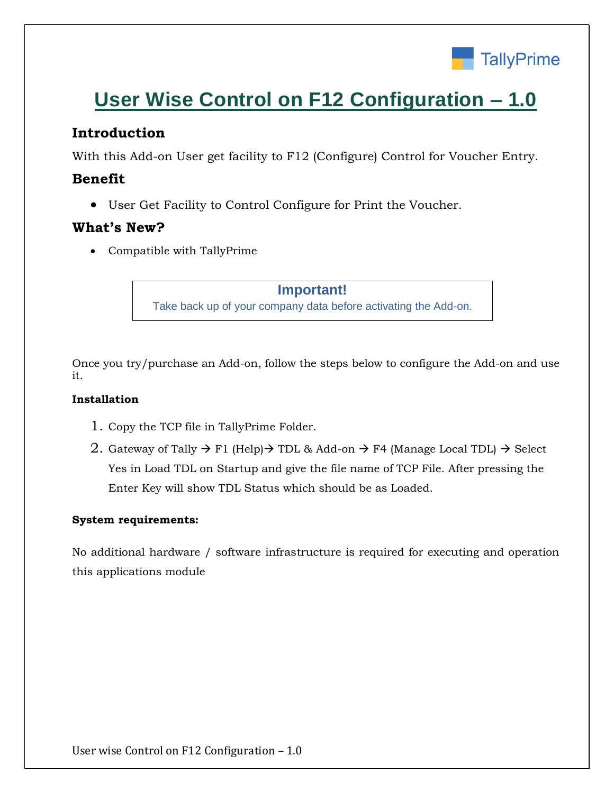

# **User Wise Control on F12 Configuration – 1.0**

# **Introduction**

With this Add-on User get facility to F12 (Configure) Control for Voucher Entry.

# **Benefit**

• User Get Facility to Control Configure for Print the Voucher.

# **What's New?**

• Compatible with TallyPrime

**Important!** Take back up of your company data before activating the Add-on.

Once you try/purchase an Add-on, follow the steps below to configure the Add-on and use it.

## **Installation**

- 1. Copy the TCP file in TallyPrime Folder.
- 2. Gateway of Tally  $\rightarrow$  F1 (Help) $\rightarrow$  TDL & Add-on  $\rightarrow$  F4 (Manage Local TDL)  $\rightarrow$  Select Yes in Load TDL on Startup and give the file name of TCP File. After pressing the Enter Key will show TDL Status which should be as Loaded.

## **System requirements:**

No additional hardware / software infrastructure is required for executing and operation this applications module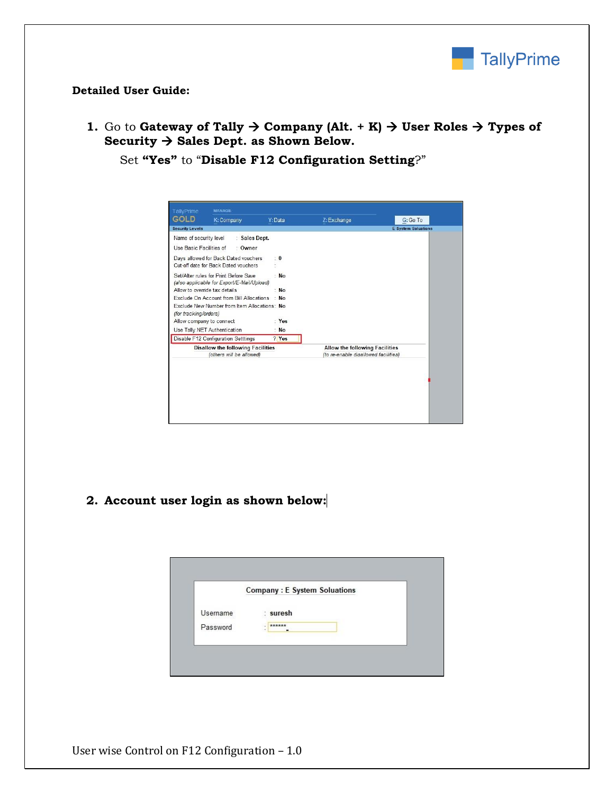

### **Detailed User Guide:**

**1.** Go to **Gateway of Tally**  $\rightarrow$  **Company (Alt.** + K)  $\rightarrow$  User Roles  $\rightarrow$  Types of **Security** → **Sales Dept. as Shown Below.**

Set **"Yes"** to "**Disable F12 Configuration Setting**?"

| <b>TallyPrime</b>             | <b>MANAGE</b>                                                                       |                |                                                                               |                            |
|-------------------------------|-------------------------------------------------------------------------------------|----------------|-------------------------------------------------------------------------------|----------------------------|
| GOLD                          | K: Company                                                                          | Y: Data        | Z: Exchange                                                                   | G: Go To                   |
| <b>Security Levels</b>        |                                                                                     |                |                                                                               | <b>E</b> System Soluations |
| Name of security level        | : Sales Dept.                                                                       |                |                                                                               |                            |
| Use Basic Facilities of       | · Owner                                                                             |                |                                                                               |                            |
|                               | Days allowed for Back Dated vouchers<br>Cut-off date for Back Dated vouchers        | $\cdot$ 0      |                                                                               |                            |
|                               | Set/Alter rules for Print Before Save<br>(also applicable for Export/E-Mail/Upload) | <b>No</b>      |                                                                               |                            |
| Allow to override tax details |                                                                                     | <b>No</b>      |                                                                               |                            |
|                               | Exclude On Account from Bill Allocations                                            | <b>No</b>      |                                                                               |                            |
| (for tracking/orders)         | Exclude New Number from Item Allocations: No                                        |                |                                                                               |                            |
| Allow company to connect      |                                                                                     | · Yes          |                                                                               |                            |
|                               | Use Tally.NET Authentication                                                        | <b>No</b><br>÷ |                                                                               |                            |
|                               | Disable F12 Configuration Setttings                                                 | ? Yes          |                                                                               |                            |
|                               | <b>Disallow the following Facilities</b><br>(others will be allowed)                |                | <b>Allow the following Facilities</b><br>(to re-enable disallowed facilities) |                            |

## **2. Account user login as shown below:**

|          | <b>Company: E System Soluations</b> |  |
|----------|-------------------------------------|--|
| Username | : suresh                            |  |
| Password | ******                              |  |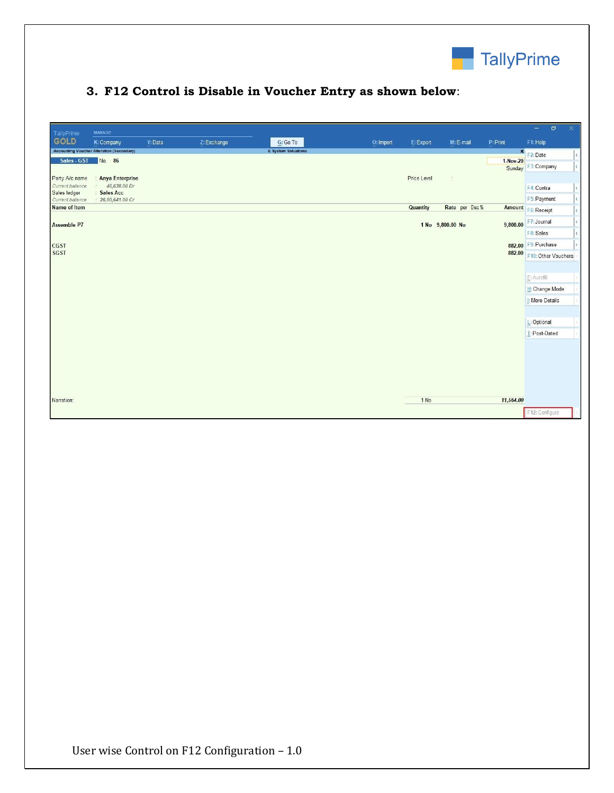

# **3. F12 Control is Disable in Voucher Entry as shown below**:

| TallyPrime<br><b>GOLD</b><br><b>Accounting Voucher Alteration (Secondary)</b> | K: Company                                            | Y: Data |             |                            |           |             |                      |           |                                          |                |
|-------------------------------------------------------------------------------|-------------------------------------------------------|---------|-------------|----------------------------|-----------|-------------|----------------------|-----------|------------------------------------------|----------------|
|                                                                               |                                                       |         | Z: Exchange | G: Go To                   | O: Import | E: Export   | M: E-mail            | P: Print  | F1: Help                                 |                |
| Sales - GST                                                                   | No. 86                                                |         |             | <b>E</b> System Soluations |           |             |                      | 1-Nov-20  | F2: Date<br>Sunday F3: Company           | $\left\langle$ |
| Party A/c name<br>Current balance<br>Sales ledger                             | <b>Anya Enterprise</b><br>46,638.00 Dr<br>: Sales Acc |         |             |                            |           | Price Level | $\tilde{\mathbb{Z}}$ |           | F4: Contra                               |                |
| Current balance<br><b>Name of Item</b>                                        | 26,80,641.00 Cr                                       |         |             |                            |           | Quantity    | Rate per Disc %      |           | F5: Payment<br>Amount F6: Receipt        |                |
| <b>Assemble P7</b>                                                            |                                                       |         |             |                            |           |             | 1 No 9,800.00 No     | 9,800.00  | F7: Journal<br>F8: Sales                 |                |
| <b>CGST</b><br><b>SGST</b>                                                    |                                                       |         |             |                            |           |             |                      |           | 882.00 F9: Purchase                      |                |
|                                                                               |                                                       |         |             |                            |           |             |                      |           | 882.00 F10: Other Vouchers               |                |
|                                                                               |                                                       |         |             |                            |           |             |                      |           | E: Autofill                              |                |
|                                                                               |                                                       |         |             |                            |           |             |                      |           | H: Change Mode<br><b>I: More Details</b> |                |
|                                                                               |                                                       |         |             |                            |           |             |                      |           |                                          |                |
|                                                                               |                                                       |         |             |                            |           |             |                      |           | L: Optional                              |                |
|                                                                               |                                                       |         |             |                            |           |             |                      |           | T: Post-Dated                            |                |
|                                                                               |                                                       |         |             |                            |           |             |                      |           |                                          |                |
|                                                                               |                                                       |         |             |                            |           |             |                      |           |                                          |                |
| Narration:                                                                    |                                                       |         |             |                            |           | 1 No        |                      | 11,564.00 |                                          |                |
|                                                                               |                                                       |         |             |                            |           |             |                      |           | F12: Configure                           |                |
|                                                                               |                                                       |         |             |                            |           |             |                      |           |                                          |                |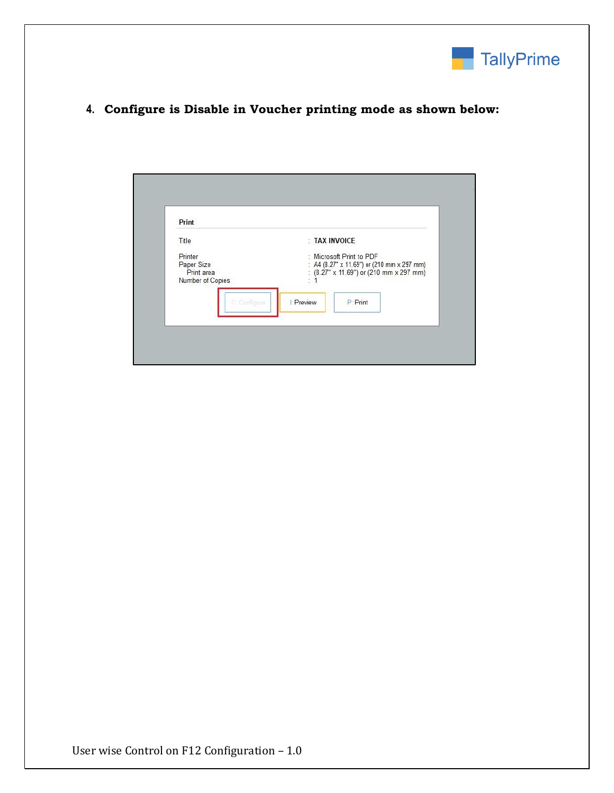

## **4. Configure is Disable in Voucher printing mode as shown below:**

| Title                          |                  | : TAX INVOICE                                                         |  |
|--------------------------------|------------------|-----------------------------------------------------------------------|--|
| Printer                        |                  | : Microsoft Print to PDF                                              |  |
| Paper Size                     |                  | : A4 (8.27" x 11.69") or (210 mm x 297 mm)                            |  |
| Print area<br>Number of Copies | ×.<br>z          | : $(8.27" \times 11.69")$ or $(210 \text{ mm} \times 297 \text{ mm})$ |  |
|                                |                  |                                                                       |  |
|                                |                  |                                                                       |  |
| C: Configure                   | <b>L'Preview</b> | P: Print                                                              |  |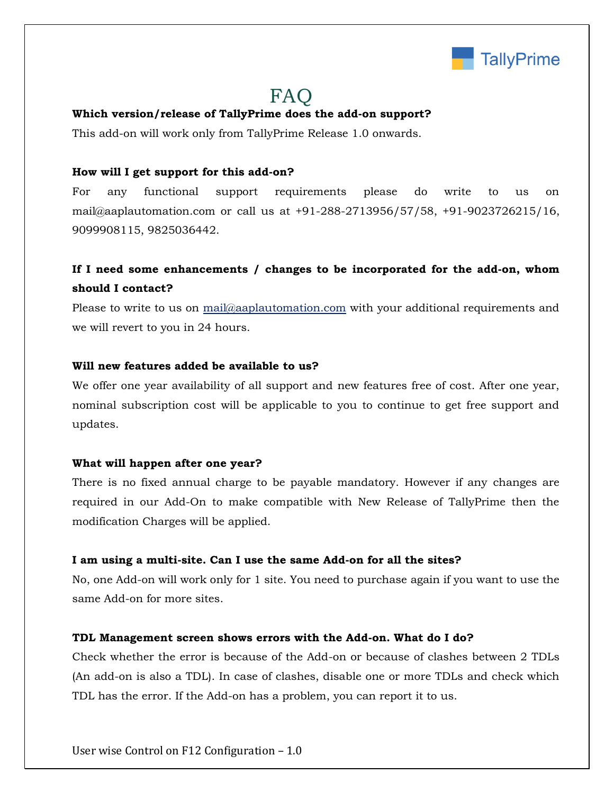

# FAQ

### **Which version/release of TallyPrime does the add-on support?**

This add-on will work only from TallyPrime Release 1.0 onwards.

### **How will I get support for this add-on?**

For any functional support requirements please do write to us on mail@aaplautomation.com or call us at +91-288-2713956/57/58, +91-9023726215/16, 9099908115, 9825036442.

# **If I need some enhancements / changes to be incorporated for the add-on, whom should I contact?**

Please to write to us on mail@aaplautomation.com with your additional requirements and we will revert to you in 24 hours.

#### **Will new features added be available to us?**

We offer one year availability of all support and new features free of cost. After one year, nominal subscription cost will be applicable to you to continue to get free support and updates.

#### **What will happen after one year?**

There is no fixed annual charge to be payable mandatory. However if any changes are required in our Add-On to make compatible with New Release of TallyPrime then the modification Charges will be applied.

#### **I am using a multi-site. Can I use the same Add-on for all the sites?**

No, one Add-on will work only for 1 site. You need to purchase again if you want to use the same Add-on for more sites.

#### **TDL Management screen shows errors with the Add-on. What do I do?**

Check whether the error is because of the Add-on or because of clashes between 2 TDLs (An add-on is also a TDL). In case of clashes, disable one or more TDLs and check which TDL has the error. If the Add-on has a problem, you can report it to us.